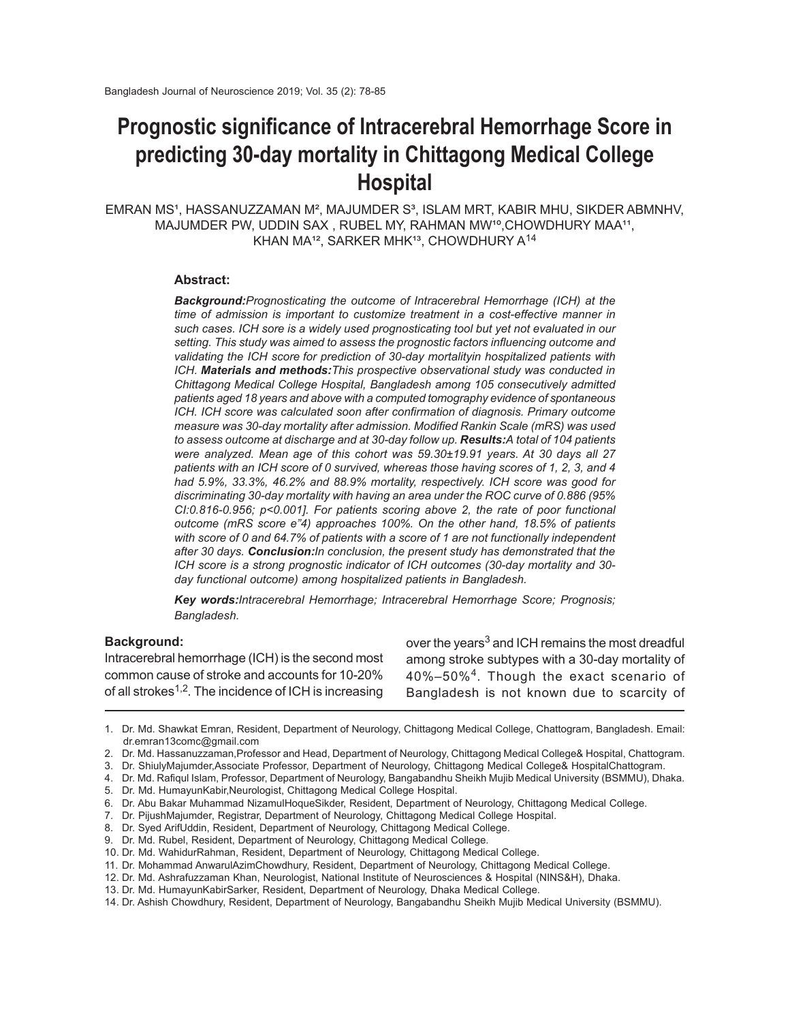# **Prognostic significance of Intracerebral Hemorrhage Score in predicting 30-day mortality in Chittagong Medical College Hospital**

EMRAN MS<sup>1</sup>, HASSANUZZAMAN M<sup>2</sup>, MAJUMDER S<sup>3</sup>, ISLAM MRT, KABIR MHU, SIKDER ABMNHV, MAJUMDER PW, UDDIN SAX, RUBEL MY, RAHMAN MW<sup>10</sup>, CHOWDHURY MAA<sup>11</sup>, KHAN MA<sup>12</sup>, SARKER MHK<sup>13</sup>, CHOWDHURY A<sup>14</sup>

#### **Abstract:**

*Background:Prognosticating the outcome of Intracerebral Hemorrhage (ICH) at the time of admission is important to customize treatment in a cost-effective manner in such cases. ICH sore is a widely used prognosticating tool but yet not evaluated in our setting. This study was aimed to assess the prognostic factors influencing outcome and validating the ICH score for prediction of 30-day mortalityin hospitalized patients with ICH. Materials and methods:This prospective observational study was conducted in Chittagong Medical College Hospital, Bangladesh among 105 consecutively admitted patients aged 18 years and above with a computed tomography evidence of spontaneous ICH. ICH score was calculated soon after confirmation of diagnosis. Primary outcome measure was 30-day mortality after admission. Modified Rankin Scale (mRS) was used to assess outcome at discharge and at 30-day follow up. Results:A total of 104 patients were analyzed. Mean age of this cohort was 59.30±19.91 years. At 30 days all 27 patients with an ICH score of 0 survived, whereas those having scores of 1, 2, 3, and 4 had 5.9%, 33.3%, 46.2% and 88.9% mortality, respectively. ICH score was good for discriminating 30-day mortality with having an area under the ROC curve of 0.886 (95% CI:0.816-0.956; p<0.001]. For patients scoring above 2, the rate of poor functional outcome (mRS score e"4) approaches 100%. On the other hand, 18.5% of patients with score of 0 and 64.7% of patients with a score of 1 are not functionally independent after 30 days. Conclusion:In conclusion, the present study has demonstrated that the ICH score is a strong prognostic indicator of ICH outcomes (30-day mortality and 30 day functional outcome) among hospitalized patients in Bangladesh.*

*Key words:Intracerebral Hemorrhage; Intracerebral Hemorrhage Score; Prognosis; Bangladesh.*

### **Background:**

Intracerebral hemorrhage (ICH) is the second most common cause of stroke and accounts for 10-20% of all strokes<sup>1,2</sup>. The incidence of ICH is increasing

over the years<sup>3</sup> and ICH remains the most dreadful among stroke subtypes with a 30-day mortality of 40%–50%<sup>4</sup> . Though the exact scenario of Bangladesh is not known due to scarcity of

8. Dr. Syed ArifUddin, Resident, Department of Neurology, Chittagong Medical College.

10. Dr. Md. WahidurRahman, Resident, Department of Neurology, Chittagong Medical College.

12. Dr. Md. Ashrafuzzaman Khan, Neurologist, National Institute of Neurosciences & Hospital (NINS&H), Dhaka.

<sup>1.</sup> Dr. Md. Shawkat Emran, Resident, Department of Neurology, Chittagong Medical College, Chattogram, Bangladesh. Email: dr.emran13comc@gmail.com

<sup>2.</sup> Dr. Md. Hassanuzzaman,Professor and Head, Department of Neurology, Chittagong Medical College& Hospital, Chattogram.

<sup>3.</sup> Dr. ShiulyMajumder,Associate Professor, Department of Neurology, Chittagong Medical College& HospitalChattogram.

<sup>4.</sup> Dr. Md. Rafiqul Islam, Professor, Department of Neurology, Bangabandhu Sheikh Mujib Medical University (BSMMU), Dhaka. 5. Dr. Md. HumayunKabir,Neurologist, Chittagong Medical College Hospital.

Dr. Abu Bakar Muhammad NizamulHoqueSikder, Resident, Department of Neurology, Chittagong Medical College.

<sup>7.</sup> Dr. PijushMajumder, Registrar, Department of Neurology, Chittagong Medical College Hospital.

<sup>9.</sup> Dr. Md. Rubel, Resident, Department of Neurology, Chittagong Medical College.

<sup>11.</sup> Dr. Mohammad AnwarulAzimChowdhury, Resident, Department of Neurology, Chittagong Medical College.

<sup>13.</sup> Dr. Md. HumayunKabirSarker, Resident, Department of Neurology, Dhaka Medical College.

<sup>14.</sup> Dr. Ashish Chowdhury, Resident, Department of Neurology, Bangabandhu Sheikh Mujib Medical University (BSMMU).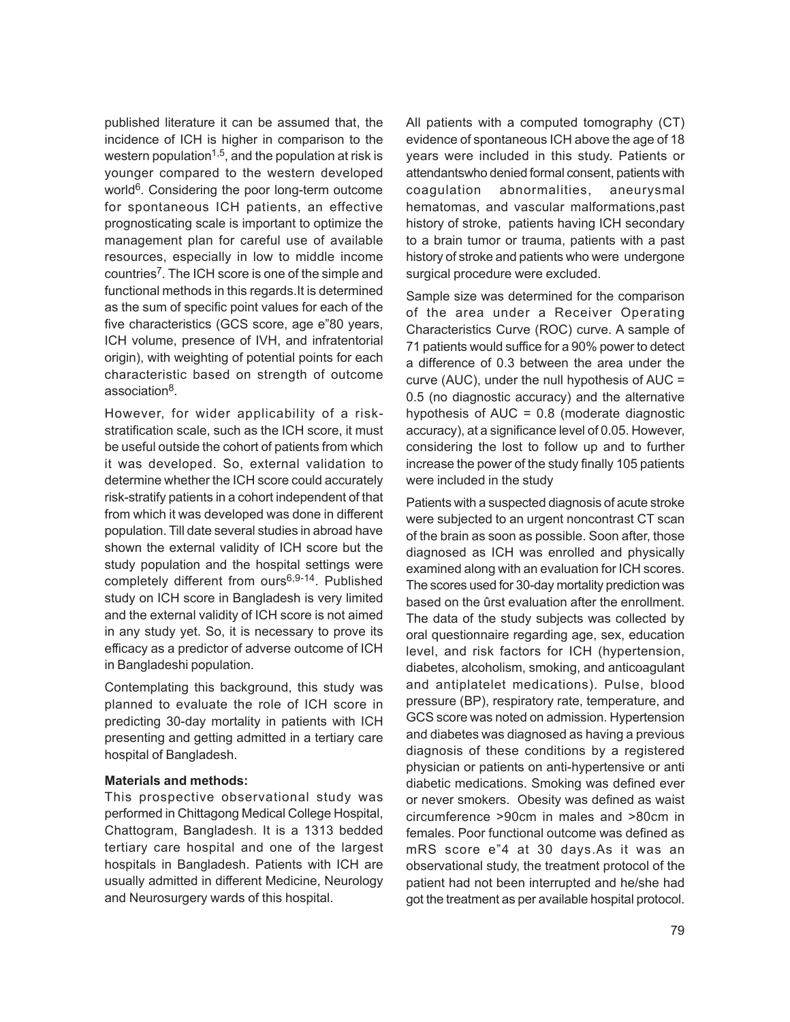published literature it can be assumed that, the incidence of ICH is higher in comparison to the western population<sup>1,5</sup>, and the population at risk is younger compared to the western developed world<sup>6</sup>. Considering the poor long-term outcome for spontaneous ICH patients, an effective prognosticating scale is important to optimize the management plan for careful use of available resources, especially in low to middle income countries<sup>7</sup>. The ICH score is one of the simple and functional methods in this regards.It is determined as the sum of specific point values for each of the five characteristics (GCS score, age e"80 years, ICH volume, presence of IVH, and infratentorial origin), with weighting of potential points for each characteristic based on strength of outcome association<sup>8</sup>.

However, for wider applicability of a riskstratification scale, such as the ICH score, it must be useful outside the cohort of patients from which it was developed. So, external validation to determine whether the ICH score could accurately risk-stratify patients in a cohort independent of that from which it was developed was done in different population. Till date several studies in abroad have shown the external validity of ICH score but the study population and the hospital settings were completely different from ours<sup>6,9-14</sup>. Published study on ICH score in Bangladesh is very limited and the external validity of ICH score is not aimed in any study yet. So, it is necessary to prove its efficacy as a predictor of adverse outcome of ICH in Bangladeshi population.

Contemplating this background, this study was planned to evaluate the role of ICH score in predicting 30-day mortality in patients with ICH presenting and getting admitted in a tertiary care hospital of Bangladesh.

### **Materials and methods:**

This prospective observational study was performed in Chittagong Medical College Hospital, Chattogram, Bangladesh. It is a 1313 bedded tertiary care hospital and one of the largest hospitals in Bangladesh. Patients with ICH are usually admitted in different Medicine, Neurology and Neurosurgery wards of this hospital.

All patients with a computed tomography (CT) evidence of spontaneous ICH above the age of 18 years were included in this study. Patients or attendantswho denied formal consent, patients with coagulation abnormalities, aneurysmal hematomas, and vascular malformations,past history of stroke, patients having ICH secondary to a brain tumor or trauma, patients with a past history of stroke and patients who were undergone surgical procedure were excluded.

Sample size was determined for the comparison of the area under a Receiver Operating Characteristics Curve (ROC) curve. A sample of 71 patients would suffice for a 90% power to detect a difference of 0.3 between the area under the curve (AUC), under the null hypothesis of AUC = 0.5 (no diagnostic accuracy) and the alternative hypothesis of AUC = 0.8 (moderate diagnostic accuracy), at a significance level of 0.05. However, considering the lost to follow up and to further increase the power of the study finally 105 patients were included in the study

Patients with a suspected diagnosis of acute stroke were subjected to an urgent noncontrast CT scan of the brain as soon as possible. Soon after, those diagnosed as ICH was enrolled and physically examined along with an evaluation for ICH scores. The scores used for 30-day mortality prediction was based on the ûrst evaluation after the enrollment. The data of the study subjects was collected by oral questionnaire regarding age, sex, education level, and risk factors for ICH (hypertension, diabetes, alcoholism, smoking, and anticoagulant and antiplatelet medications). Pulse, blood pressure (BP), respiratory rate, temperature, and GCS score was noted on admission. Hypertension and diabetes was diagnosed as having a previous diagnosis of these conditions by a registered physician or patients on anti-hypertensive or anti diabetic medications. Smoking was defined ever or never smokers. Obesity was defined as waist circumference >90cm in males and >80cm in females. Poor functional outcome was defined as mRS score e"4 at 30 days.As it was an observational study, the treatment protocol of the patient had not been interrupted and he/she had got the treatment as per available hospital protocol.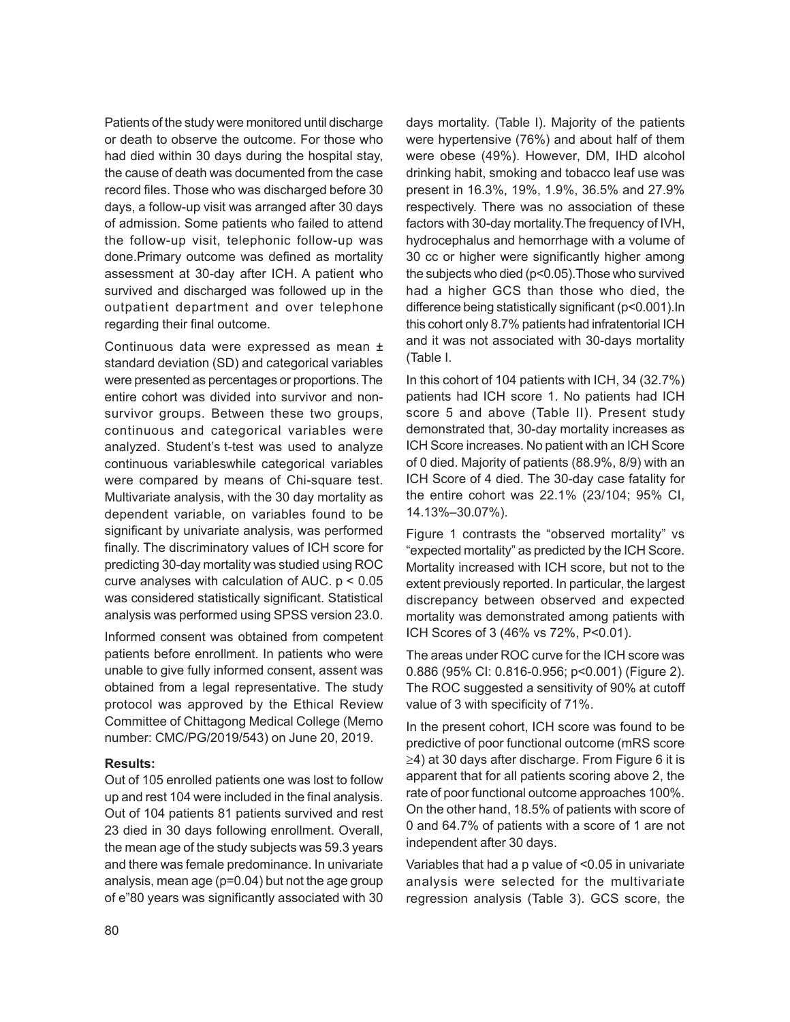Patients of the study were monitored until discharge or death to observe the outcome. For those who had died within 30 days during the hospital stay, the cause of death was documented from the case record files. Those who was discharged before 30 days, a follow-up visit was arranged after 30 days of admission. Some patients who failed to attend the follow-up visit, telephonic follow-up was done.Primary outcome was defined as mortality assessment at 30-day after ICH. A patient who survived and discharged was followed up in the outpatient department and over telephone regarding their final outcome.

Continuous data were expressed as mean ± standard deviation (SD) and categorical variables were presented as percentages or proportions. The entire cohort was divided into survivor and nonsurvivor groups. Between these two groups, continuous and categorical variables were analyzed. Student's t-test was used to analyze continuous variableswhile categorical variables were compared by means of Chi-square test. Multivariate analysis, with the 30 day mortality as dependent variable, on variables found to be significant by univariate analysis, was performed finally. The discriminatory values of ICH score for predicting 30-day mortality was studied using ROC curve analyses with calculation of AUC.  $p < 0.05$ was considered statistically significant. Statistical analysis was performed using SPSS version 23.0.

Informed consent was obtained from competent patients before enrollment. In patients who were unable to give fully informed consent, assent was obtained from a legal representative. The study protocol was approved by the Ethical Review Committee of Chittagong Medical College (Memo number: CMC/PG/2019/543) on June 20, 2019.

### **Results:**

Out of 105 enrolled patients one was lost to follow up and rest 104 were included in the final analysis. Out of 104 patients 81 patients survived and rest 23 died in 30 days following enrollment. Overall, the mean age of the study subjects was 59.3 years and there was female predominance. In univariate analysis, mean age (p=0.04) but not the age group of e"80 years was significantly associated with 30 days mortality. (Table I). Majority of the patients were hypertensive (76%) and about half of them were obese (49%). However, DM, IHD alcohol drinking habit, smoking and tobacco leaf use was present in 16.3%, 19%, 1.9%, 36.5% and 27.9% respectively. There was no association of these factors with 30-day mortality.The frequency of IVH, hydrocephalus and hemorrhage with a volume of 30 cc or higher were significantly higher among the subjects who died (p<0.05).Those who survived had a higher GCS than those who died, the difference being statistically significant (p<0.001).In this cohort only 8.7% patients had infratentorial ICH and it was not associated with 30-days mortality (Table I.

In this cohort of 104 patients with ICH, 34 (32.7%) patients had ICH score 1. No patients had ICH score 5 and above (Table II). Present study demonstrated that, 30-day mortality increases as ICH Score increases. No patient with an ICH Score of 0 died. Majority of patients (88.9%, 8/9) with an ICH Score of 4 died. The 30-day case fatality for the entire cohort was 22.1% (23/104; 95% CI, 14.13%–30.07%).

Figure 1 contrasts the "observed mortality" vs "expected mortality" as predicted by the ICH Score. Mortality increased with ICH score, but not to the extent previously reported. In particular, the largest discrepancy between observed and expected mortality was demonstrated among patients with ICH Scores of 3 (46% vs 72%, P<0.01).

The areas under ROC curve for the ICH score was 0.886 (95% CI: 0.816-0.956; p<0.001) (Figure 2). The ROC suggested a sensitivity of 90% at cutoff value of 3 with specificity of 71%.

In the present cohort, ICH score was found to be predictive of poor functional outcome (mRS score ≥4) at 30 days after discharge. From Figure 6 it is apparent that for all patients scoring above 2, the rate of poor functional outcome approaches 100%. On the other hand, 18.5% of patients with score of 0 and 64.7% of patients with a score of 1 are not independent after 30 days.

Variables that had a p value of <0.05 in univariate analysis were selected for the multivariate regression analysis (Table 3). GCS score, the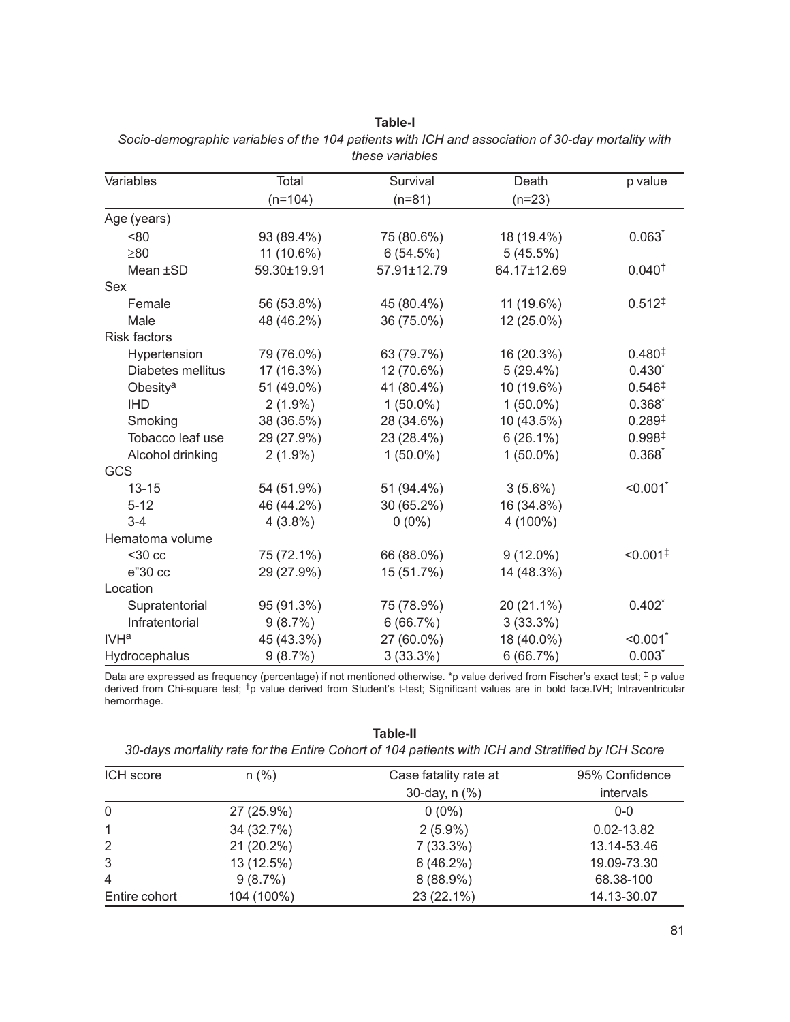| Variables            | <b>Total</b> | Survival    | Death       | p value                |
|----------------------|--------------|-------------|-------------|------------------------|
|                      | $(n=104)$    | $(n=81)$    | $(n=23)$    |                        |
| Age (years)          |              |             |             |                        |
| < 80                 | 93 (89.4%)   | 75 (80.6%)  | 18 (19.4%)  | $0.063*$               |
| $\geq 80$            | 11 (10.6%)   | 6(54.5%)    | 5(45.5%)    |                        |
| Mean ±SD             | 59.30±19.91  | 57.91±12.79 | 64.17±12.69 | 0.040 <sup>†</sup>     |
| Sex                  |              |             |             |                        |
| Female               | 56 (53.8%)   | 45 (80.4%)  | 11 (19.6%)  | 0.512 <sup>‡</sup>     |
| Male                 | 48 (46.2%)   | 36 (75.0%)  | 12 (25.0%)  |                        |
| <b>Risk factors</b>  |              |             |             |                        |
| Hypertension         | 79 (76.0%)   | 63 (79.7%)  | 16 (20.3%)  | 0.480 <sup>‡</sup>     |
| Diabetes mellitus    | 17 (16.3%)   | 12 (70.6%)  | $5(29.4\%)$ | $0.430*$               |
| Obesity <sup>a</sup> | 51 (49.0%)   | 41 (80.4%)  | 10 (19.6%)  | 0.546 <sup>‡</sup>     |
| <b>IHD</b>           | $2(1.9\%)$   | $1(50.0\%)$ | $1(50.0\%)$ | $0.368*$               |
| Smoking              | 38 (36.5%)   | 28 (34.6%)  | 10 (43.5%)  | 0.289 <sup>‡</sup>     |
| Tobacco leaf use     | 29 (27.9%)   | 23 (28.4%)  | $6(26.1\%)$ | 0.998 <sup>‡</sup>     |
| Alcohol drinking     | $2(1.9\%)$   | $1(50.0\%)$ | $1(50.0\%)$ | $0.368*$               |
| GCS                  |              |             |             |                        |
| $13 - 15$            | 54 (51.9%)   | 51 (94.4%)  | $3(5.6\%)$  | $< 0.001$ *            |
| $5 - 12$             | 46 (44.2%)   | 30 (65.2%)  | 16 (34.8%)  |                        |
| $3 - 4$              | $4(3.8\%)$   | $0(0\%)$    | 4 (100%)    |                        |
| Hematoma volume      |              |             |             |                        |
| $30$ cc              | 75 (72.1%)   | 66 (88.0%)  | $9(12.0\%)$ | $< 0.001$ <sup>‡</sup> |
| e"30 cc              | 29 (27.9%)   | 15 (51.7%)  | 14 (48.3%)  |                        |
| Location             |              |             |             |                        |
| Supratentorial       | 95 (91.3%)   | 75 (78.9%)  | 20 (21.1%)  | $0.402*$               |
| Infratentorial       | 9(8.7%)      | 6(66.7%)    | 3(33.3%)    |                        |
| IVH <sup>a</sup>     | 45 (43.3%)   | 27 (60.0%)  | 18 (40.0%)  | < 0.001                |
| Hydrocephalus        | 9(8.7%)      | 3(33.3%)    | 6(66.7%)    | $0.003*$               |

**Table-I** *Socio-demographic variables of the 104 patients with ICH and association of 30-day mortality with these variables*

Data are expressed as frequency (percentage) if not mentioned otherwise. \*p value derived from Fischer's exact test; ‡ p value derived from Chi-square test; †p value derived from Student's t-test; Significant values are in bold face.IVH; Intraventricular hemorrhage.

**Table-II**

|  |  |  |  | 30-days mortality rate for the Entire Cohort of 104 patients with ICH and Stratified by ICH Score |
|--|--|--|--|---------------------------------------------------------------------------------------------------|
|--|--|--|--|---------------------------------------------------------------------------------------------------|

| ICH score     | $n (\%)$   | Case fatality rate at | 95% Confidence |  |
|---------------|------------|-----------------------|----------------|--|
|               |            | 30-day, $n$ $(\%)$    | intervals      |  |
| 0             | 27 (25.9%) | $0(0\%)$              | $0 - 0$        |  |
| 1             | 34 (32.7%) | $2(5.9\%)$            | $0.02 - 13.82$ |  |
| 2             | 21 (20.2%) | $7(33.3\%)$           | 13.14-53.46    |  |
| 3             | 13 (12.5%) | 6(46.2%)              | 19.09-73.30    |  |
| 4             | 9(8.7%)    | $8(88.9\%)$           | 68.38-100      |  |
| Entire cohort | 104 (100%) | 23 (22.1%)            | 14.13-30.07    |  |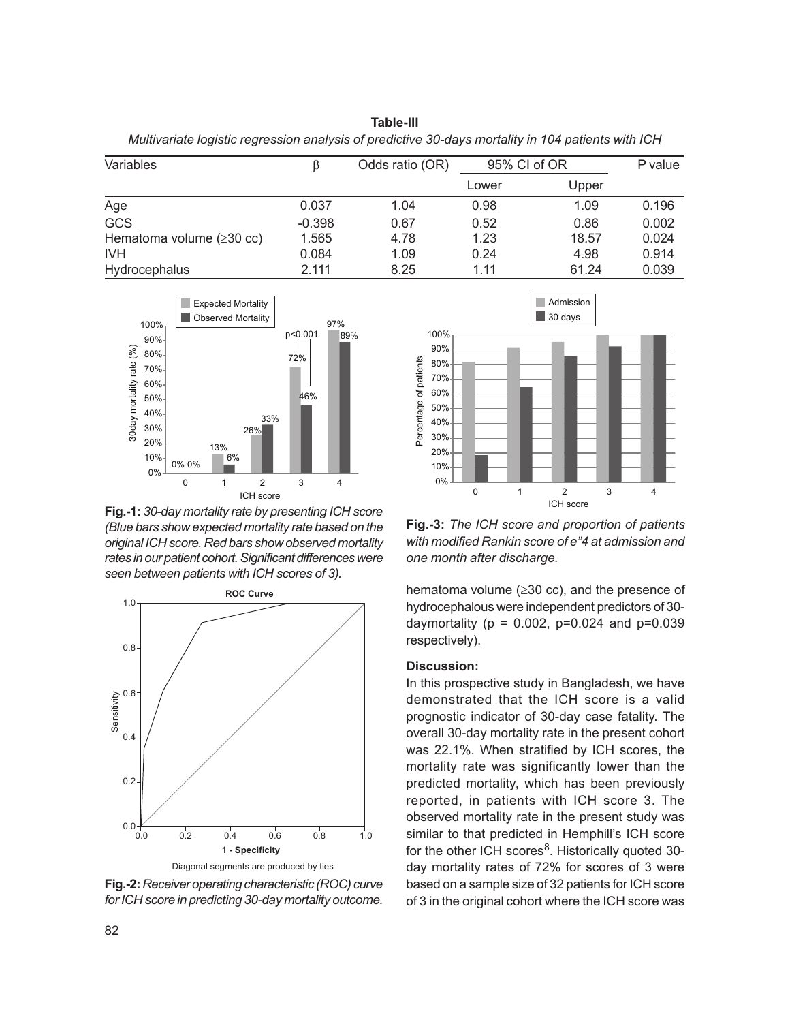**Table-III** *Multivariate logistic regression analysis of predictive 30-days mortality in 104 patients with ICH*

| Variables                              |          | Odds ratio (OR) | 95% CI of OR |       | P value |
|----------------------------------------|----------|-----------------|--------------|-------|---------|
|                                        |          |                 | Lower        | Upper |         |
| Age                                    | 0.037    | 1.04            | 0.98         | 1.09  | 0.196   |
| <b>GCS</b>                             | $-0.398$ | 0.67            | 0.52         | 0.86  | 0.002   |
| Hematoma volume $(\geq 30 \text{ cc})$ | 1.565    | 4.78            | 1.23         | 18.57 | 0.024   |
| <b>IVH</b>                             | 0.084    | 1.09            | 0.24         | 4.98  | 0.914   |
| Hydrocephalus                          | 2.111    | 8.25            | 1.11         | 61.24 | 0.039   |



**Fig.-1:** *30-day mortality rate by presenting ICH score (Blue bars show expected mortality rate based on the original ICH score. Red bars show observed mortality rates in our patient cohort. Significant differences were seen between patients with ICH scores of 3).*



**Fig.-2:** *Receiver operating characteristic (ROC) curve for ICH score in predicting 30-day mortality outcome.*



**Fig.-3:** *The ICH score and proportion of patients with modified Rankin score of e"4 at admission and one month after discharge.*

hematoma volume (≥30 cc), and the presence of hydrocephalous were independent predictors of 30 daymortality ( $p = 0.002$ ,  $p=0.024$  and  $p=0.039$ respectively).

#### **Discussion:**

In this prospective study in Bangladesh, we have demonstrated that the ICH score is a valid prognostic indicator of 30-day case fatality. The overall 30-day mortality rate in the present cohort was 22.1%. When stratified by ICH scores, the mortality rate was significantly lower than the predicted mortality, which has been previously reported, in patients with ICH score 3. The observed mortality rate in the present study was similar to that predicted in Hemphill's ICH score for the other ICH scores<sup>8</sup>. Historically quoted 30day mortality rates of 72% for scores of 3 were based on a sample size of 32 patients for ICH score of 3 in the original cohort where the ICH score was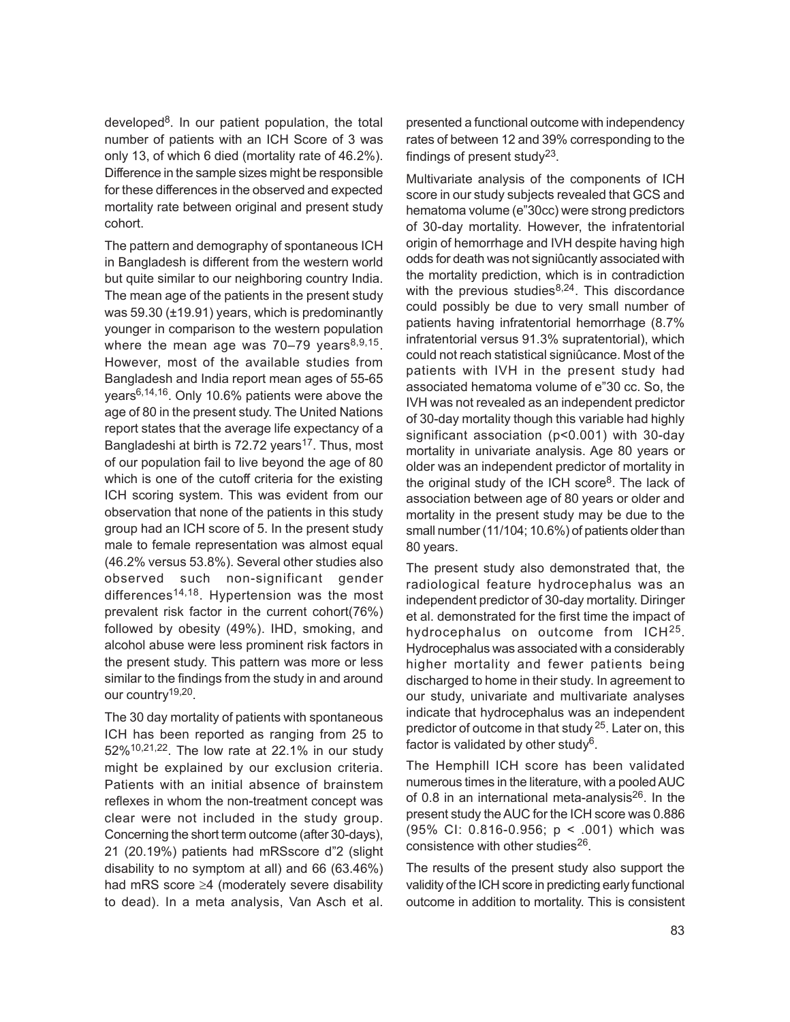developed<sup>8</sup>. In our patient population, the total number of patients with an ICH Score of 3 was only 13, of which 6 died (mortality rate of 46.2%). Difference in the sample sizes might be responsible for these differences in the observed and expected mortality rate between original and present study cohort.

The pattern and demography of spontaneous ICH in Bangladesh is different from the western world but quite similar to our neighboring country India. The mean age of the patients in the present study was 59.30 (±19.91) years, which is predominantly younger in comparison to the western population where the mean age was 70–79 years<sup>8,9,15</sup>. However, most of the available studies from Bangladesh and India report mean ages of 55-65 years<sup>6,14,16</sup>. Only 10.6% patients were above the age of 80 in the present study. The United Nations report states that the average life expectancy of a Bangladeshi at birth is 72.72 years<sup>17</sup>. Thus, most of our population fail to live beyond the age of 80 which is one of the cutoff criteria for the existing ICH scoring system. This was evident from our observation that none of the patients in this study group had an ICH score of 5. In the present study male to female representation was almost equal (46.2% versus 53.8%). Several other studies also observed such non-significant gender differences<sup>14,18</sup>. Hypertension was the most prevalent risk factor in the current cohort(76%) followed by obesity (49%). IHD, smoking, and alcohol abuse were less prominent risk factors in the present study. This pattern was more or less similar to the findings from the study in and around our country<sup>19,20</sup>.

The 30 day mortality of patients with spontaneous ICH has been reported as ranging from 25 to 52%<sup>10,21,22</sup>. The low rate at 22.1% in our study might be explained by our exclusion criteria. Patients with an initial absence of brainstem reflexes in whom the non-treatment concept was clear were not included in the study group. Concerning the short term outcome (after 30-days), 21 (20.19%) patients had mRSscore d"2 (slight disability to no symptom at all) and 66 (63.46%) had mRS score ≥4 (moderately severe disability to dead). In a meta analysis, Van Asch et al. presented a functional outcome with independency rates of between 12 and 39% corresponding to the findings of present study<sup>23</sup>.

Multivariate analysis of the components of ICH score in our study subjects revealed that GCS and hematoma volume (e"30cc) were strong predictors of 30-day mortality. However, the infratentorial origin of hemorrhage and IVH despite having high odds for death was not signiûcantly associated with the mortality prediction, which is in contradiction with the previous studies<sup>8,24</sup>. This discordance could possibly be due to very small number of patients having infratentorial hemorrhage (8.7% infratentorial versus 91.3% supratentorial), which could not reach statistical signiûcance. Most of the patients with IVH in the present study had associated hematoma volume of e"30 cc. So, the IVH was not revealed as an independent predictor of 30-day mortality though this variable had highly significant association (p<0.001) with 30-day mortality in univariate analysis. Age 80 years or older was an independent predictor of mortality in the original study of the ICH score<sup>8</sup>. The lack of association between age of 80 years or older and mortality in the present study may be due to the small number (11/104; 10.6%) of patients older than 80 years.

The present study also demonstrated that, the radiological feature hydrocephalus was an independent predictor of 30-day mortality. Diringer et al. demonstrated for the first time the impact of hydrocephalus on outcome from ICH<sup>25</sup>. Hydrocephalus was associated with a considerably higher mortality and fewer patients being discharged to home in their study. In agreement to our study, univariate and multivariate analyses indicate that hydrocephalus was an independent predictor of outcome in that study <sup>25</sup>. Later on, this factor is validated by other study<sup>6</sup>.

The Hemphill ICH score has been validated numerous times in the literature, with a pooled AUC of 0.8 in an international meta-analysis $26$ . In the present study the AUC for the ICH score was 0.886 (95% CI: 0.816-0.956; p < .001) which was consistence with other studies<sup>26</sup>.

The results of the present study also support the validity of the ICH score in predicting early functional outcome in addition to mortality. This is consistent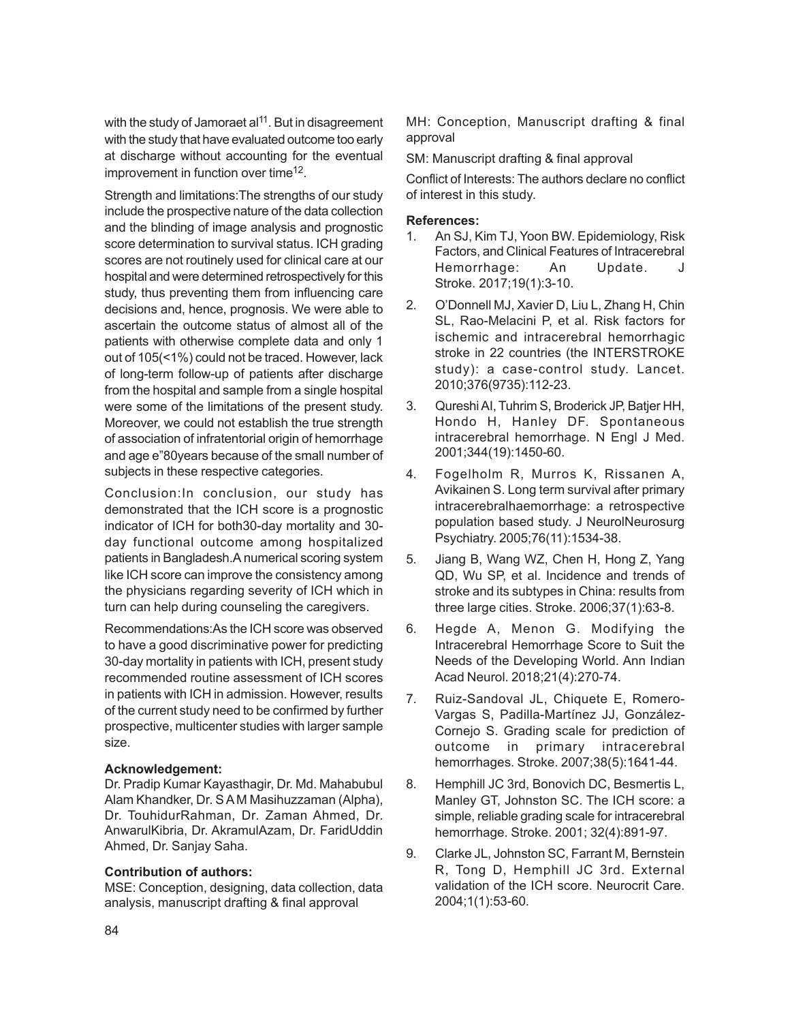with the study of Jamoraet al<sup>11</sup>. But in disagreement with the study that have evaluated outcome too early at discharge without accounting for the eventual improvement in function over time<sup>12</sup>.

Strength and limitations:The strengths of our study include the prospective nature of the data collection and the blinding of image analysis and prognostic score determination to survival status. ICH grading scores are not routinely used for clinical care at our hospital and were determined retrospectively for this study, thus preventing them from influencing care decisions and, hence, prognosis. We were able to ascertain the outcome status of almost all of the patients with otherwise complete data and only 1 out of 105(<1%) could not be traced. However, lack of long-term follow-up of patients after discharge from the hospital and sample from a single hospital were some of the limitations of the present study. Moreover, we could not establish the true strength of association of infratentorial origin of hemorrhage and age e"80years because of the small number of subjects in these respective categories.

Conclusion:In conclusion, our study has demonstrated that the ICH score is a prognostic indicator of ICH for both30-day mortality and 30 day functional outcome among hospitalized patients in Bangladesh.A numerical scoring system like ICH score can improve the consistency among the physicians regarding severity of ICH which in turn can help during counseling the caregivers.

Recommendations:As the ICH score was observed to have a good discriminative power for predicting 30-day mortality in patients with ICH, present study recommended routine assessment of ICH scores in patients with ICH in admission. However, results of the current study need to be confirmed by further prospective, multicenter studies with larger sample size.

### **Acknowledgement:**

Dr. Pradip Kumar Kayasthagir, Dr. Md. Mahabubul Alam Khandker, Dr. S A M Masihuzzaman (Alpha), Dr. TouhidurRahman, Dr. Zaman Ahmed, Dr. AnwarulKibria, Dr. AkramulAzam, Dr. FaridUddin Ahmed, Dr. Sanjay Saha.

### **Contribution of authors:**

MSE: Conception, designing, data collection, data analysis, manuscript drafting & final approval

MH: Conception, Manuscript drafting & final approval

SM: Manuscript drafting & final approval

Conflict of Interests: The authors declare no conflict of interest in this study.

## **References:**

- 1. An SJ, Kim TJ, Yoon BW. Epidemiology, Risk Factors, and Clinical Features of Intracerebral Hemorrhage: An Update. J Stroke. 2017;19(1):3-10.
- 2. O'Donnell MJ, Xavier D, Liu L, Zhang H, Chin SL, Rao-Melacini P, et al. Risk factors for ischemic and intracerebral hemorrhagic stroke in 22 countries (the INTERSTROKE study): a case-control study. Lancet. 2010;376(9735):112-23.
- 3. Qureshi AI, Tuhrim S, Broderick JP, Batjer HH, Hondo H, Hanley DF. Spontaneous intracerebral hemorrhage. N Engl J Med. 2001;344(19):1450-60.
- 4. Fogelholm R, Murros K, Rissanen A, Avikainen S. Long term survival after primary intracerebralhaemorrhage: a retrospective population based study. J NeurolNeurosurg Psychiatry. 2005;76(11):1534-38.
- 5. Jiang B, Wang WZ, Chen H, Hong Z, Yang QD, Wu SP, et al. Incidence and trends of stroke and its subtypes in China: results from three large cities. Stroke. 2006;37(1):63-8.
- 6. Hegde A, Menon G. Modifying the Intracerebral Hemorrhage Score to Suit the Needs of the Developing World. Ann Indian Acad Neurol. 2018;21(4):270-74.
- 7. Ruiz-Sandoval JL, Chiquete E, Romero-Vargas S, Padilla-Martínez JJ, González-Cornejo S. Grading scale for prediction of outcome in primary intracerebral hemorrhages. Stroke. 2007;38(5):1641-44.
- 8. Hemphill JC 3rd, Bonovich DC, Besmertis L, Manley GT, Johnston SC. The ICH score: a simple, reliable grading scale for intracerebral hemorrhage. Stroke. 2001; 32(4):891-97.
- 9. Clarke JL, Johnston SC, Farrant M, Bernstein R, Tong D, Hemphill JC 3rd. External validation of the ICH score. Neurocrit Care. 2004;1(1):53-60.